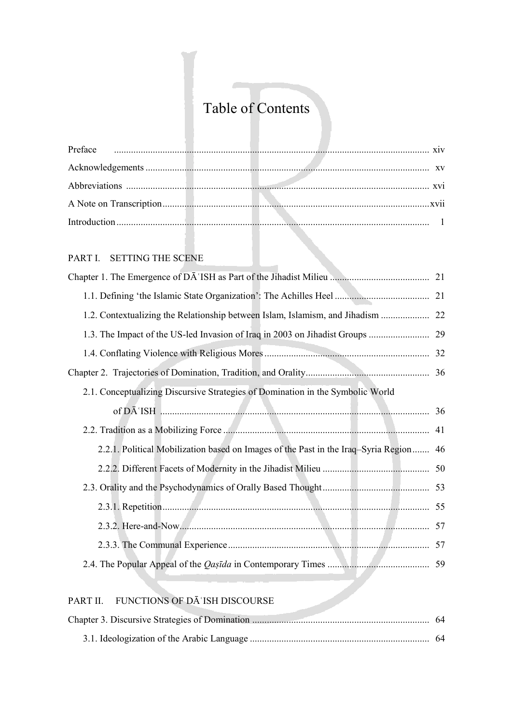# Table of Contents

#### PART I. SETTING THE SCENE

| 1.2. Contextualizing the Relationship between Islam, Islamism, and Jihadism           |  |
|---------------------------------------------------------------------------------------|--|
|                                                                                       |  |
|                                                                                       |  |
|                                                                                       |  |
| 2.1. Conceptualizing Discursive Strategies of Domination in the Symbolic World        |  |
|                                                                                       |  |
|                                                                                       |  |
| 2.2.1. Political Mobilization based on Images of the Past in the Iraq-Syria Region 46 |  |
|                                                                                       |  |
|                                                                                       |  |
|                                                                                       |  |
|                                                                                       |  |
|                                                                                       |  |
|                                                                                       |  |
|                                                                                       |  |

#### PART II. FUNCTIONS OF DĀʿISH DISCOURSE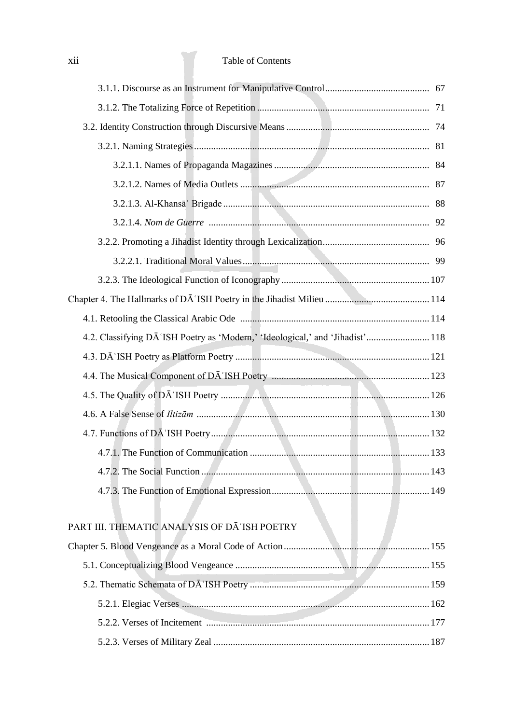### xii Table of Contents

| 4.2. Classifying DA 'ISH Poetry as 'Modern,' 'Ideological,' and 'Jihadist' 118 |  |
|--------------------------------------------------------------------------------|--|
|                                                                                |  |
|                                                                                |  |
|                                                                                |  |
|                                                                                |  |
|                                                                                |  |
|                                                                                |  |
|                                                                                |  |
|                                                                                |  |
|                                                                                |  |
| PART III. THEMATIC ANALYSIS OF DĀ'ISH POETRY                                   |  |
|                                                                                |  |
|                                                                                |  |
|                                                                                |  |
|                                                                                |  |
|                                                                                |  |
|                                                                                |  |